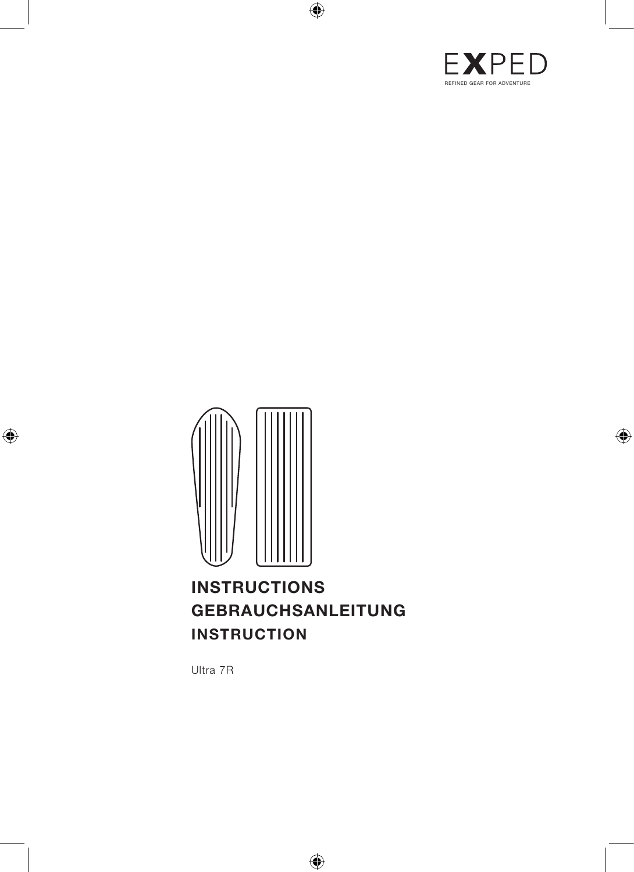



# **INSTRUCTIONS GEBRAUCHSANLEITUNG INSTRUCTION**

Ultra 7R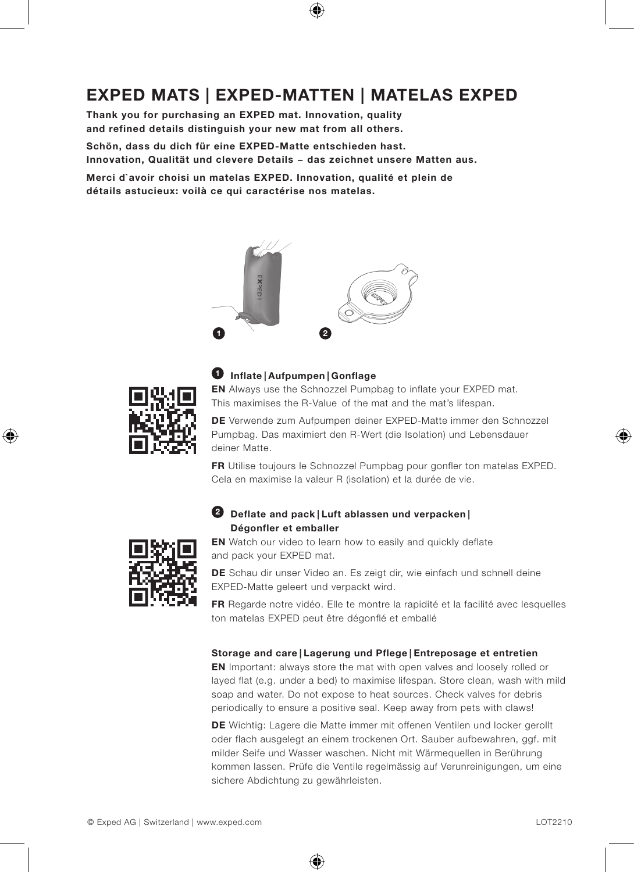# **EXPED MATS | EXPED-MATTEN | MATELAS EXPED**

**Thank you for purchasing an EXPED mat. Innovation, quality and refined details distinguish your new mat from all others.** 

**Schön, dass du dich für eine EXPED-Matte entschieden hast. Innovation, Qualität und clevere Details − das zeichnet unsere Matten aus.**

**Merci d`avoir choisi un matelas EXPED. Innovation, qualité et plein de détails astucieux: voilà ce qui caractérise nos matelas.**





### **1 Inflate | Aufpumpen | Gonflage**

**EN** Always use the Schnozzel Pumpbag to inflate your EXPED mat. This maximises the R-Value of the mat and the mat's lifespan.

**DE** Verwende zum Aufpumpen deiner EXPED-Matte immer den Schnozzel Pumpbag. Das maximiert den R-Wert (die Isolation) und Lebensdauer deiner Matte.

**FR** Utilise toujours le Schnozzel Pumpbag pour gonfler ton matelas EXPED. Cela en maximise la valeur R (isolation) et la durée de vie.



## **2 Deflate and pack | Luft ablassen und verpacken | Dégonfler et emballer**

**EN** Watch our video to learn how to easily and quickly deflate and pack your EXPED mat.

**DE** Schau dir unser Video an. Es zeigt dir, wie einfach und schnell deine EXPED-Matte geleert und verpackt wird.

**FR** Regarde notre vidéo. Elle te montre la rapidité et la facilité avec lesquelles ton matelas EXPED peut être dégonflé et emballé

### **Storage and care | Lagerung und Pflege | Entreposage et entretien**

**EN** Important: always store the mat with open valves and loosely rolled or layed flat (e.g. under a bed) to maximise lifespan. Store clean, wash with mild soap and water. Do not expose to heat sources. Check valves for debris periodically to ensure a positive seal. Keep away from pets with claws!

**DE** Wichtig: Lagere die Matte immer mit offenen Ventilen und locker gerollt oder flach ausgelegt an einem trockenen Ort. Sauber aufbewahren, ggf. mit milder Seife und Wasser waschen. Nicht mit Wärmequellen in Berührung kommen lassen. Prüfe die Ventile regelmässig auf Verunreinigungen, um eine sichere Abdichtung zu gewährleisten.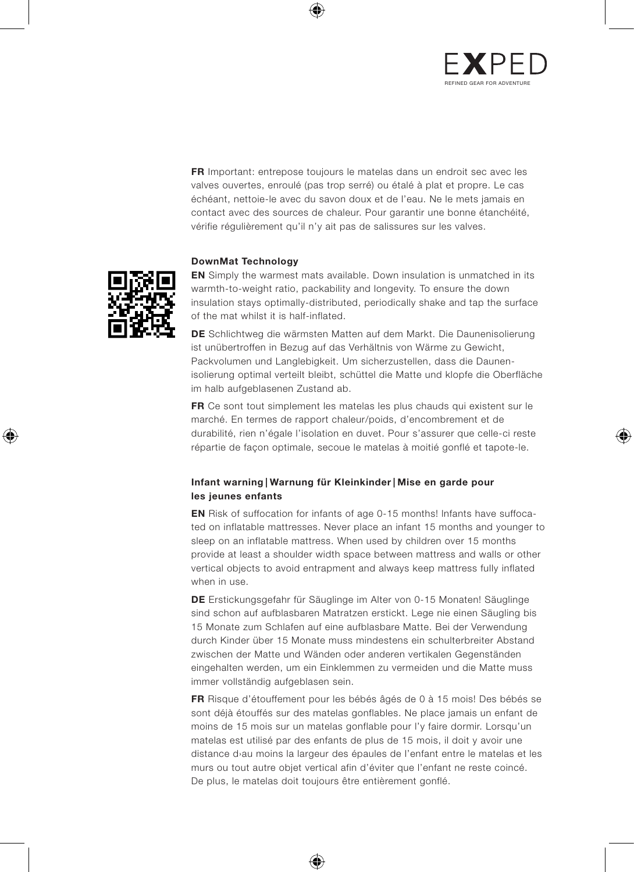

**FR** Important: entrepose toujours le matelas dans un endroit sec avec les valves ouvertes, enroulé (pas trop serré) ou étalé à plat et propre. Le cas échéant, nettoie-le avec du savon doux et de l'eau. Ne le mets jamais en contact avec des sources de chaleur. Pour garantir une bonne étanchéité, vérifie régulièrement qu'il n'y ait pas de salissures sur les valves.

### **DownMat Technology**



**EN** Simply the warmest mats available. Down insulation is unmatched in its warmth-to-weight ratio, packability and longevity. To ensure the down insulation stays optimally-distributed, periodically shake and tap the surface of the mat whilst it is half-inflated.

**DE** Schlichtweg die wärmsten Matten auf dem Markt. Die Daunenisolierung ist unübertroffen in Bezug auf das Verhältnis von Wärme zu Gewicht, Packvolumen und Langlebigkeit. Um sicherzustellen, dass die Daunenisolierung optimal verteilt bleibt, schüttel die Matte und klopfe die Oberfläche im halb aufgeblasenen Zustand ab.

**FR** Ce sont tout simplement les matelas les plus chauds qui existent sur le marché. En termes de rapport chaleur/poids, d'encombrement et de durabilité, rien n'égale l'isolation en duvet. Pour s'assurer que celle-ci reste répartie de façon optimale, secoue le matelas à moitié gonflé et tapote-le.

### **Infant warning | Warnung für Kleinkinder | Mise en garde pour les jeunes enfants**

**EN** Risk of suffocation for infants of age 0-15 months! lnfants have suffocated on inflatable mattresses. Never place an infant 15 months and younger to sleep on an inflatable mattress. When used by children over 15 months provide at least a shoulder width space between mattress and walls or other vertical objects to avoid entrapment and always keep mattress fully inflated when in use.

**DE** Erstickungsgefahr für Säuglinge im Alter von 0-15 Monaten! Säuglinge sind schon auf aufblasbaren Matratzen erstickt. Lege nie einen Säugling bis 15 Monate zum Schlafen auf eine aufblasbare Matte. Bei der Verwendung durch Kinder über 15 Monate muss mindestens ein schulterbreiter Abstand zwischen der Matte und Wänden oder anderen vertikalen Gegenständen eingehalten werden, um ein Einklemmen zu vermeiden und die Matte muss immer vollständig aufgeblasen sein.

**FR** Risque d'étouffement pour les bébés âgés de 0 à 15 mois! Des bébés se sont déjà étouffés sur des matelas gonflables. Ne place jamais un enfant de moins de 15 mois sur un matelas gonflable pour l'y faire dormir. Lorsqu'un matelas est utilisé par des enfants de plus de 15 mois, il doit y avoir une distance d›au moins la largeur des épaules de l'enfant entre le matelas et les murs ou tout autre objet vertical afin d'éviter que l'enfant ne reste coincé. De plus, le matelas doit toujours être entièrement gonflé.